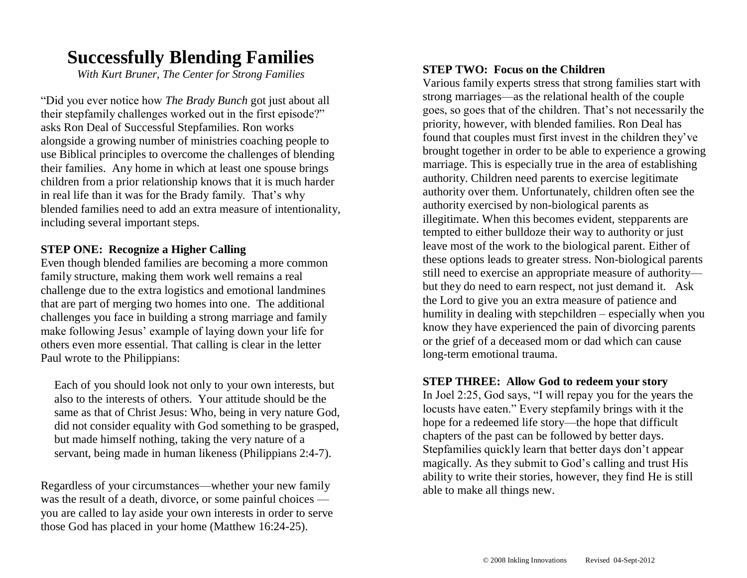## **Successfully Blending Families**

*With Kurt Bruner, The Center for Strong Families*

"Did you ever notice how *The Brady Bunch* got just about all their stepfamily challenges worked out in the first episode?" asks Ron Deal of Successful Stepfamilies. Ron works alongside a growing number of ministries coaching people to use Biblical principles to overcome the challenges of blending their families. Any home in which at least one spouse brings children from a prior relationship knows that it is much harder in real life than it was for the Brady family. That's why blended families need to add an extra measure of intentionality, including several important steps.

#### **STEP ONE: Recognize a Higher Calling**

Even though blended families are becoming a more common family structure, making them work well remains a real challenge due to the extra logistics and emotional landmines that are part of merging two homes into one. The additional challenges you face in building a strong marriage and family make following Jesus' example of laying down your life for others even more essential. That calling is clear in the letter Paul wrote to the Philippians:

Each of you should look not only to your own interests, but also to the interests of others. Your attitude should be the same as that of Christ Jesus: Who, being in very nature God, did not consider equality with God something to be grasped, but made himself nothing, taking the very nature of a servant, being made in human likeness (Philippians 2:4-7).

Regardless of your circumstances—whether your new family was the result of a death, divorce, or some painful choices you are called to lay aside your own interests in order to serve those God has placed in your home (Matthew 16:24-25).

#### **STEP TWO: Focus on the Children**

Various family experts stress that strong families start with strong marriages—as the relational health of the couple goes, so goes that of the children. That's not necessarily the priority, however, with blended families. Ron Deal has found that couples must first invest in the children they've brought together in order to be able to experience a growing marriage. This is especially true in the area of establishing authority. Children need parents to exercise legitimate authority over them. Unfortunately, children often see the authority exercised by non-biological parents as illegitimate. When this becomes evident, stepparents are tempted to either bulldoze their way to authority or just leave most of the work to the biological parent. Either of these options leads to greater stress. Non-biological parents still need to exercise an appropriate measure of authority but they do need to earn respect, not just demand it. Ask the Lord to give you an extra measure of patience and humility in dealing with stepchildren – especially when you know they have experienced the pain of divorcing parents or the grief of a deceased mom or dad which can cause long-term emotional trauma.

#### **STEP THREE: Allow God to redeem your story**

In Joel 2:25, God says, "I will repay you for the years the locusts have eaten." Every stepfamily brings with it the hope for a redeemed life story—the hope that difficult chapters of the past can be followed by better days. Stepfamilies quickly learn that better days don't appear magically. As they submit to God's calling and trust His ability to write their stories, however, they find He is still able to make all things new.